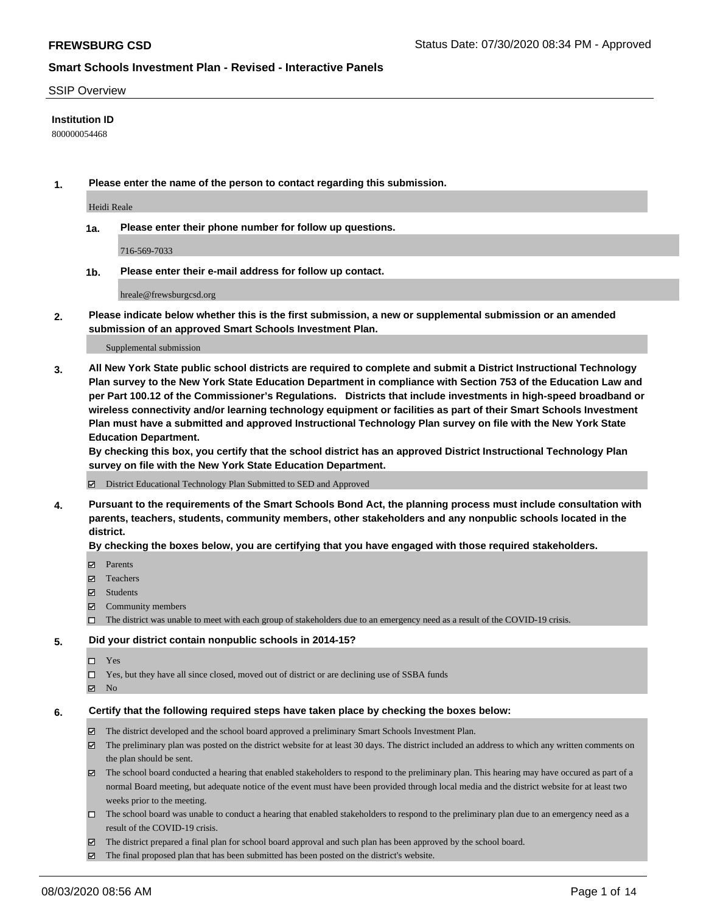### SSIP Overview

### **Institution ID**

800000054468

**1. Please enter the name of the person to contact regarding this submission.**

Heidi Reale

**1a. Please enter their phone number for follow up questions.**

716-569-7033

**1b. Please enter their e-mail address for follow up contact.**

hreale@frewsburgcsd.org

**2. Please indicate below whether this is the first submission, a new or supplemental submission or an amended submission of an approved Smart Schools Investment Plan.**

#### Supplemental submission

**3. All New York State public school districts are required to complete and submit a District Instructional Technology Plan survey to the New York State Education Department in compliance with Section 753 of the Education Law and per Part 100.12 of the Commissioner's Regulations. Districts that include investments in high-speed broadband or wireless connectivity and/or learning technology equipment or facilities as part of their Smart Schools Investment Plan must have a submitted and approved Instructional Technology Plan survey on file with the New York State Education Department.** 

**By checking this box, you certify that the school district has an approved District Instructional Technology Plan survey on file with the New York State Education Department.**

District Educational Technology Plan Submitted to SED and Approved

**4. Pursuant to the requirements of the Smart Schools Bond Act, the planning process must include consultation with parents, teachers, students, community members, other stakeholders and any nonpublic schools located in the district.** 

#### **By checking the boxes below, you are certifying that you have engaged with those required stakeholders.**

- **□** Parents
- Teachers
- Students
- $\boxtimes$  Community members
- The district was unable to meet with each group of stakeholders due to an emergency need as a result of the COVID-19 crisis.

### **5. Did your district contain nonpublic schools in 2014-15?**

- $\neg$  Yes
- Yes, but they have all since closed, moved out of district or are declining use of SSBA funds
- **Z** No

#### **6. Certify that the following required steps have taken place by checking the boxes below:**

- The district developed and the school board approved a preliminary Smart Schools Investment Plan.
- $\boxtimes$  The preliminary plan was posted on the district website for at least 30 days. The district included an address to which any written comments on the plan should be sent.
- $\boxtimes$  The school board conducted a hearing that enabled stakeholders to respond to the preliminary plan. This hearing may have occured as part of a normal Board meeting, but adequate notice of the event must have been provided through local media and the district website for at least two weeks prior to the meeting.
- The school board was unable to conduct a hearing that enabled stakeholders to respond to the preliminary plan due to an emergency need as a result of the COVID-19 crisis.
- The district prepared a final plan for school board approval and such plan has been approved by the school board.
- $\boxtimes$  The final proposed plan that has been submitted has been posted on the district's website.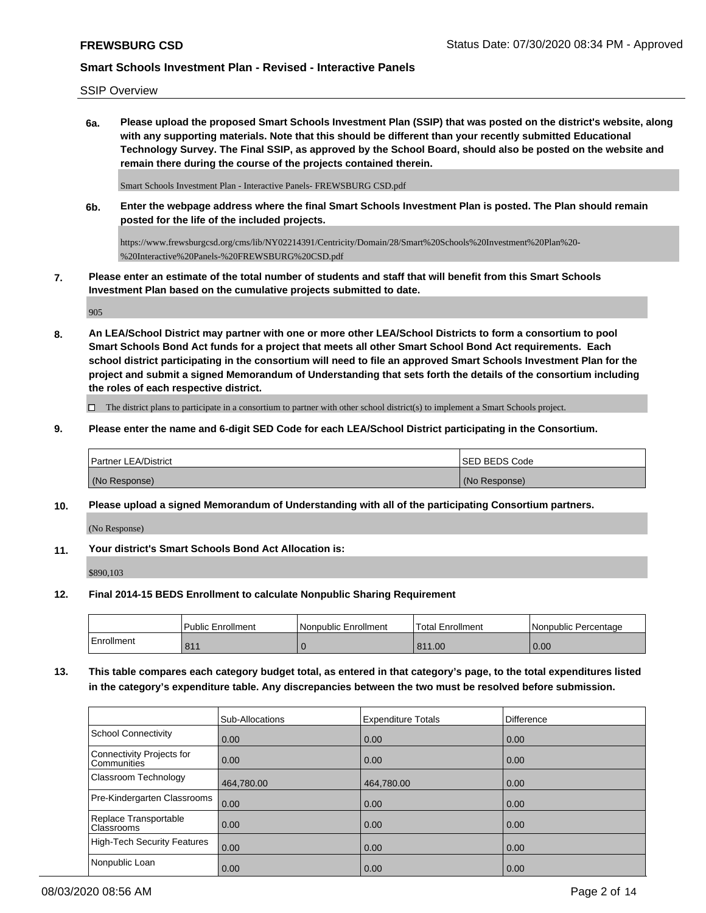SSIP Overview

**6a. Please upload the proposed Smart Schools Investment Plan (SSIP) that was posted on the district's website, along with any supporting materials. Note that this should be different than your recently submitted Educational Technology Survey. The Final SSIP, as approved by the School Board, should also be posted on the website and remain there during the course of the projects contained therein.**

Smart Schools Investment Plan - Interactive Panels- FREWSBURG CSD.pdf

**6b. Enter the webpage address where the final Smart Schools Investment Plan is posted. The Plan should remain posted for the life of the included projects.**

https://www.frewsburgcsd.org/cms/lib/NY02214391/Centricity/Domain/28/Smart%20Schools%20Investment%20Plan%20- %20Interactive%20Panels-%20FREWSBURG%20CSD.pdf

**7. Please enter an estimate of the total number of students and staff that will benefit from this Smart Schools Investment Plan based on the cumulative projects submitted to date.**

905

**8. An LEA/School District may partner with one or more other LEA/School Districts to form a consortium to pool Smart Schools Bond Act funds for a project that meets all other Smart School Bond Act requirements. Each school district participating in the consortium will need to file an approved Smart Schools Investment Plan for the project and submit a signed Memorandum of Understanding that sets forth the details of the consortium including the roles of each respective district.**

 $\Box$  The district plans to participate in a consortium to partner with other school district(s) to implement a Smart Schools project.

**9. Please enter the name and 6-digit SED Code for each LEA/School District participating in the Consortium.**

| <b>Partner LEA/District</b> | <b>ISED BEDS Code</b> |
|-----------------------------|-----------------------|
| (No Response)               | (No Response)         |

**10. Please upload a signed Memorandum of Understanding with all of the participating Consortium partners.**

(No Response)

**11. Your district's Smart Schools Bond Act Allocation is:**

\$890,103

**12. Final 2014-15 BEDS Enrollment to calculate Nonpublic Sharing Requirement**

|                         | Public Enrollment | l Nonpublic Enrollment | <b>Total Enrollment</b> | l Nonpublic Percentage |
|-------------------------|-------------------|------------------------|-------------------------|------------------------|
| <sup>I</sup> Enrollment | 011               |                        | 811.00                  | 0.00                   |

**13. This table compares each category budget total, as entered in that category's page, to the total expenditures listed in the category's expenditure table. Any discrepancies between the two must be resolved before submission.**

|                                                 | Sub-Allocations   | <b>Expenditure Totals</b> | <b>Difference</b> |
|-------------------------------------------------|-------------------|---------------------------|-------------------|
| School Connectivity                             | 0.00              | 0.00                      | 0.00              |
| Connectivity Projects for<br><b>Communities</b> | $\overline{0.00}$ | 0.00                      | 0.00              |
| <b>Classroom Technology</b>                     | 464,780.00        | 464,780.00                | 0.00              |
| Pre-Kindergarten Classrooms                     | 0.00              | 0.00                      | 0.00              |
| Replace Transportable<br><b>Classrooms</b>      | $\overline{0.00}$ | 0.00                      | 0.00              |
| High-Tech Security Features                     | $\overline{0.00}$ | 0.00                      | 0.00              |
| Nonpublic Loan                                  | 0.00              | 0.00                      | 0.00              |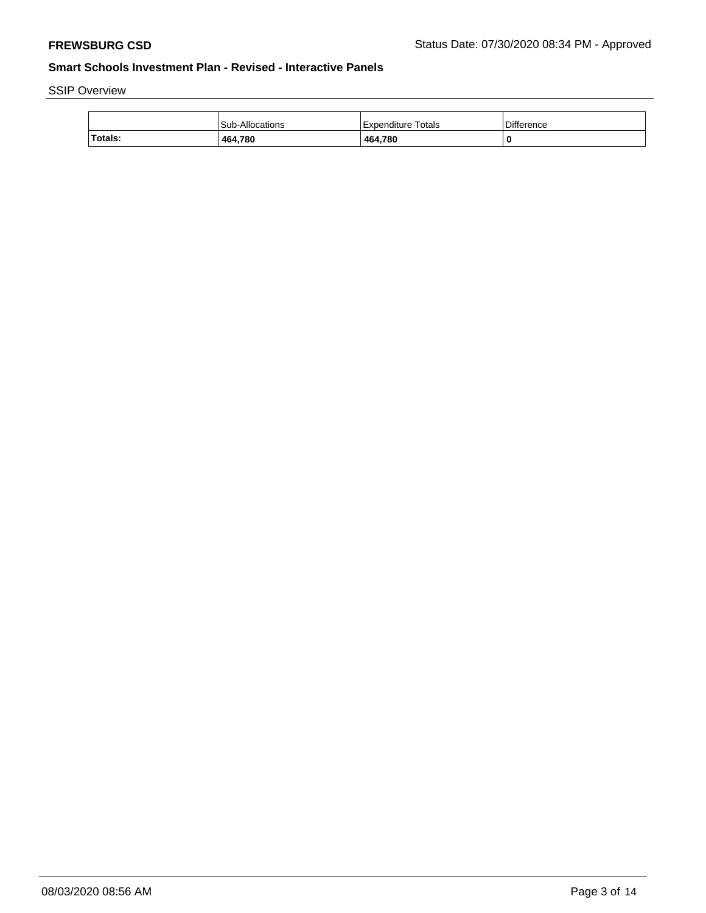SSIP Overview

|         | Sub-Allocations | Expenditure Totals | Difference |
|---------|-----------------|--------------------|------------|
| Totals: | 464,780         | 464,780            |            |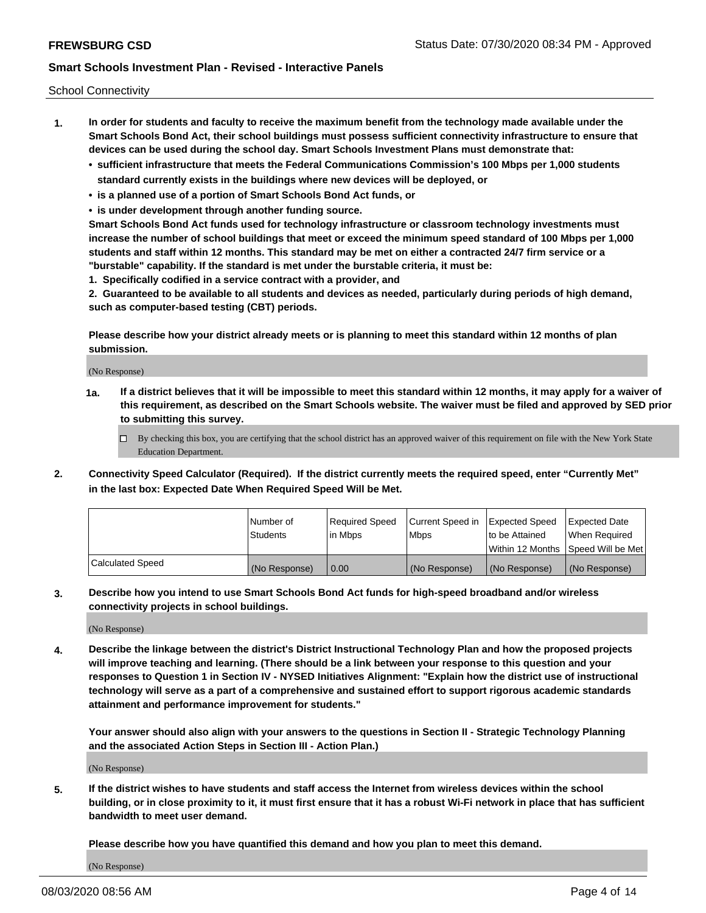School Connectivity

- **1. In order for students and faculty to receive the maximum benefit from the technology made available under the Smart Schools Bond Act, their school buildings must possess sufficient connectivity infrastructure to ensure that devices can be used during the school day. Smart Schools Investment Plans must demonstrate that:**
	- **• sufficient infrastructure that meets the Federal Communications Commission's 100 Mbps per 1,000 students standard currently exists in the buildings where new devices will be deployed, or**
	- **• is a planned use of a portion of Smart Schools Bond Act funds, or**
	- **• is under development through another funding source.**

**Smart Schools Bond Act funds used for technology infrastructure or classroom technology investments must increase the number of school buildings that meet or exceed the minimum speed standard of 100 Mbps per 1,000 students and staff within 12 months. This standard may be met on either a contracted 24/7 firm service or a "burstable" capability. If the standard is met under the burstable criteria, it must be:**

**1. Specifically codified in a service contract with a provider, and**

**2. Guaranteed to be available to all students and devices as needed, particularly during periods of high demand, such as computer-based testing (CBT) periods.**

**Please describe how your district already meets or is planning to meet this standard within 12 months of plan submission.**

(No Response)

**1a. If a district believes that it will be impossible to meet this standard within 12 months, it may apply for a waiver of this requirement, as described on the Smart Schools website. The waiver must be filed and approved by SED prior to submitting this survey.**

 $\Box$  By checking this box, you are certifying that the school district has an approved waiver of this requirement on file with the New York State Education Department.

**2. Connectivity Speed Calculator (Required). If the district currently meets the required speed, enter "Currently Met" in the last box: Expected Date When Required Speed Will be Met.**

|                  | l Number of     | Required Speed | Current Speed in | Expected Speed  | <b>Expected Date</b>                    |
|------------------|-----------------|----------------|------------------|-----------------|-----------------------------------------|
|                  | <b>Students</b> | In Mbps        | l Mbps           | Ito be Attained | When Required                           |
|                  |                 |                |                  |                 | l Within 12 Months ISpeed Will be Met l |
| Calculated Speed | (No Response)   | 0.00           | (No Response)    | (No Response)   | (No Response)                           |

**3. Describe how you intend to use Smart Schools Bond Act funds for high-speed broadband and/or wireless connectivity projects in school buildings.**

(No Response)

**4. Describe the linkage between the district's District Instructional Technology Plan and how the proposed projects will improve teaching and learning. (There should be a link between your response to this question and your responses to Question 1 in Section IV - NYSED Initiatives Alignment: "Explain how the district use of instructional technology will serve as a part of a comprehensive and sustained effort to support rigorous academic standards attainment and performance improvement for students."** 

**Your answer should also align with your answers to the questions in Section II - Strategic Technology Planning and the associated Action Steps in Section III - Action Plan.)**

(No Response)

**5. If the district wishes to have students and staff access the Internet from wireless devices within the school building, or in close proximity to it, it must first ensure that it has a robust Wi-Fi network in place that has sufficient bandwidth to meet user demand.**

**Please describe how you have quantified this demand and how you plan to meet this demand.**

(No Response)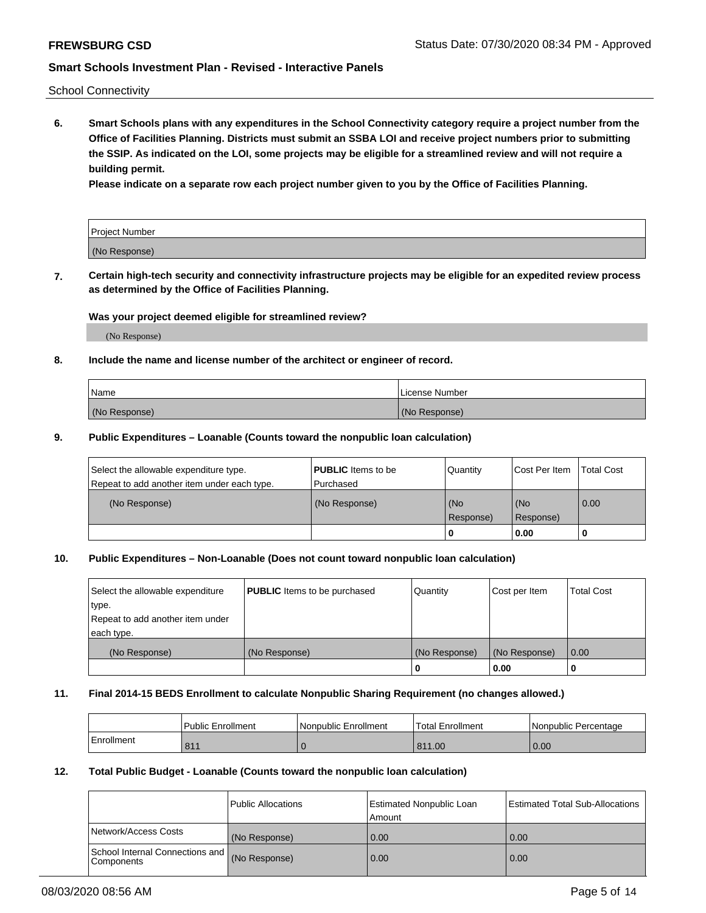School Connectivity

**6. Smart Schools plans with any expenditures in the School Connectivity category require a project number from the Office of Facilities Planning. Districts must submit an SSBA LOI and receive project numbers prior to submitting the SSIP. As indicated on the LOI, some projects may be eligible for a streamlined review and will not require a building permit.**

**Please indicate on a separate row each project number given to you by the Office of Facilities Planning.**

| Project Number |  |
|----------------|--|
| (No Response)  |  |

**7. Certain high-tech security and connectivity infrastructure projects may be eligible for an expedited review process as determined by the Office of Facilities Planning.**

## **Was your project deemed eligible for streamlined review?**

(No Response)

## **8. Include the name and license number of the architect or engineer of record.**

| Name          | License Number |
|---------------|----------------|
| (No Response) | (No Response)  |

### **9. Public Expenditures – Loanable (Counts toward the nonpublic loan calculation)**

| Select the allowable expenditure type.<br>Repeat to add another item under each type. | <b>PUBLIC</b> Items to be<br>l Purchased | Quantity         | l Cost Per Item  | <b>Total Cost</b> |
|---------------------------------------------------------------------------------------|------------------------------------------|------------------|------------------|-------------------|
| (No Response)                                                                         | (No Response)                            | (No<br>Response) | (No<br>Response) | 0.00              |
|                                                                                       |                                          | 0                | 0.00             |                   |

## **10. Public Expenditures – Non-Loanable (Does not count toward nonpublic loan calculation)**

| Select the allowable expenditure<br>type.<br>Repeat to add another item under<br>each type. | <b>PUBLIC</b> Items to be purchased | Quantity      | Cost per Item | <b>Total Cost</b> |
|---------------------------------------------------------------------------------------------|-------------------------------------|---------------|---------------|-------------------|
| (No Response)                                                                               | (No Response)                       | (No Response) | (No Response) | 0.00              |
|                                                                                             |                                     |               | 0.00          |                   |

#### **11. Final 2014-15 BEDS Enrollment to calculate Nonpublic Sharing Requirement (no changes allowed.)**

|            | Public Enrollment | Nonpublic Enrollment | 'Total Enrollment | l Nonpublic Percentage |
|------------|-------------------|----------------------|-------------------|------------------------|
| Enrollment | 811               |                      | 811.00            | 0.00                   |

### **12. Total Public Budget - Loanable (Counts toward the nonpublic loan calculation)**

|                                                      | Public Allocations | <b>Estimated Nonpublic Loan</b><br>Amount | Estimated Total Sub-Allocations |
|------------------------------------------------------|--------------------|-------------------------------------------|---------------------------------|
| Network/Access Costs                                 | (No Response)      | 0.00                                      | 0.00                            |
| School Internal Connections and<br><b>Components</b> | (No Response)      | 0.00                                      | 0.00                            |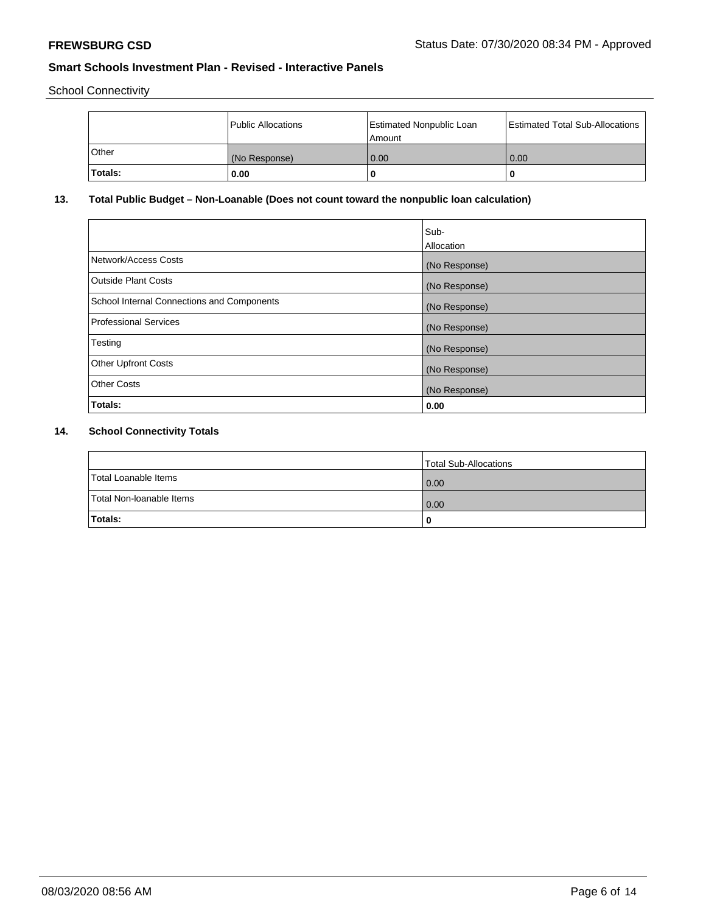School Connectivity

|         | Public Allocations | <b>Estimated Nonpublic Loan</b><br>Amount | <b>Estimated Total Sub-Allocations</b> |
|---------|--------------------|-------------------------------------------|----------------------------------------|
| l Other | (No Response)      | 0.00                                      | 0.00                                   |
| Totals: | 0.00               | 0                                         |                                        |

# **13. Total Public Budget – Non-Loanable (Does not count toward the nonpublic loan calculation)**

|                                                   | Sub-<br>Allocation |
|---------------------------------------------------|--------------------|
| Network/Access Costs                              | (No Response)      |
| Outside Plant Costs                               | (No Response)      |
| <b>School Internal Connections and Components</b> | (No Response)      |
| Professional Services                             | (No Response)      |
| Testing                                           | (No Response)      |
| <b>Other Upfront Costs</b>                        | (No Response)      |
| <b>Other Costs</b>                                | (No Response)      |
| Totals:                                           | 0.00               |

# **14. School Connectivity Totals**

|                          | Total Sub-Allocations |
|--------------------------|-----------------------|
| Total Loanable Items     | 0.00                  |
| Total Non-Ioanable Items | 0.00                  |
| Totals:                  | 0                     |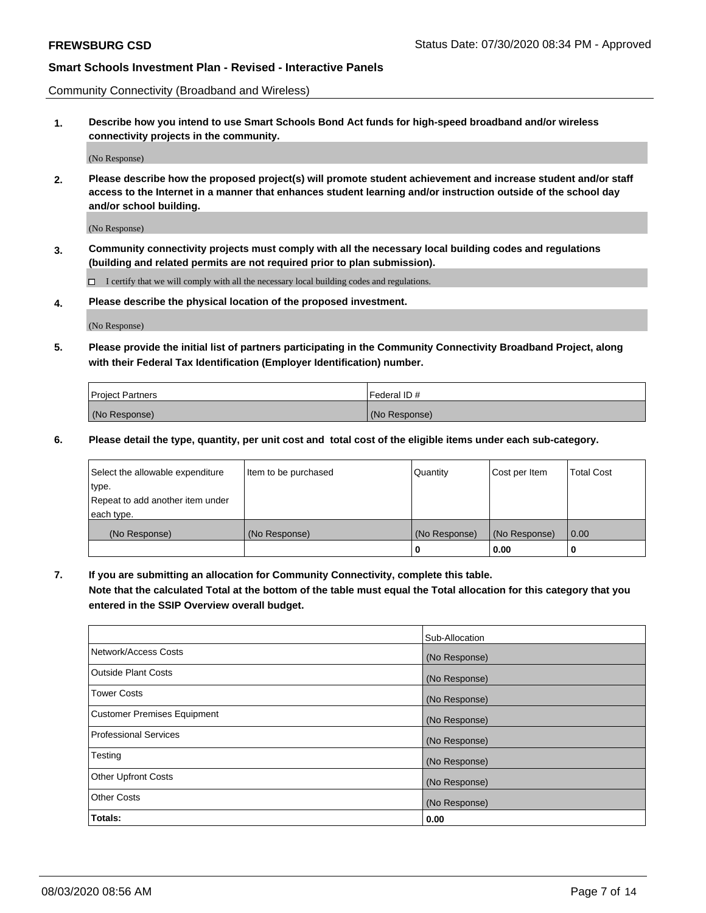Community Connectivity (Broadband and Wireless)

**1. Describe how you intend to use Smart Schools Bond Act funds for high-speed broadband and/or wireless connectivity projects in the community.**

(No Response)

**2. Please describe how the proposed project(s) will promote student achievement and increase student and/or staff access to the Internet in a manner that enhances student learning and/or instruction outside of the school day and/or school building.**

(No Response)

**3. Community connectivity projects must comply with all the necessary local building codes and regulations (building and related permits are not required prior to plan submission).**

 $\Box$  I certify that we will comply with all the necessary local building codes and regulations.

**4. Please describe the physical location of the proposed investment.**

(No Response)

**5. Please provide the initial list of partners participating in the Community Connectivity Broadband Project, along with their Federal Tax Identification (Employer Identification) number.**

| <b>Project Partners</b> | l Federal ID # |
|-------------------------|----------------|
| (No Response)           | (No Response)  |

**6. Please detail the type, quantity, per unit cost and total cost of the eligible items under each sub-category.**

| Select the allowable expenditure | Item to be purchased | Quantity      | Cost per Item | <b>Total Cost</b> |
|----------------------------------|----------------------|---------------|---------------|-------------------|
| type.                            |                      |               |               |                   |
| Repeat to add another item under |                      |               |               |                   |
| each type.                       |                      |               |               |                   |
| (No Response)                    | (No Response)        | (No Response) | (No Response) | 0.00              |
|                                  |                      | o             | 0.00          |                   |

**7. If you are submitting an allocation for Community Connectivity, complete this table.**

**Note that the calculated Total at the bottom of the table must equal the Total allocation for this category that you entered in the SSIP Overview overall budget.**

|                                    | Sub-Allocation |
|------------------------------------|----------------|
| Network/Access Costs               | (No Response)  |
| Outside Plant Costs                | (No Response)  |
| <b>Tower Costs</b>                 | (No Response)  |
| <b>Customer Premises Equipment</b> | (No Response)  |
| <b>Professional Services</b>       | (No Response)  |
| Testing                            | (No Response)  |
| <b>Other Upfront Costs</b>         | (No Response)  |
| <b>Other Costs</b>                 | (No Response)  |
| Totals:                            | 0.00           |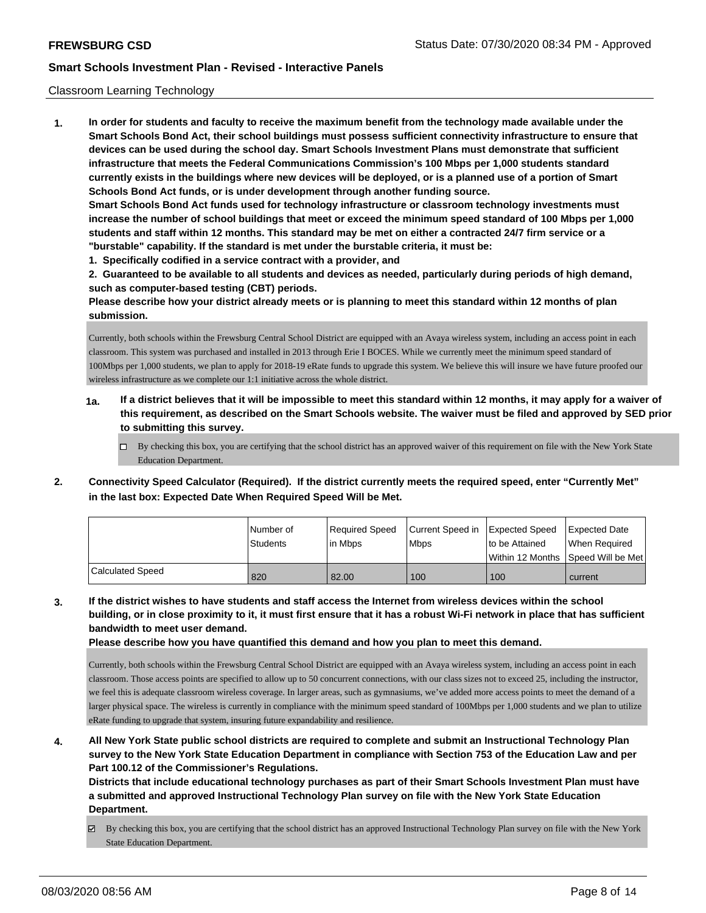### Classroom Learning Technology

**1. In order for students and faculty to receive the maximum benefit from the technology made available under the Smart Schools Bond Act, their school buildings must possess sufficient connectivity infrastructure to ensure that devices can be used during the school day. Smart Schools Investment Plans must demonstrate that sufficient infrastructure that meets the Federal Communications Commission's 100 Mbps per 1,000 students standard currently exists in the buildings where new devices will be deployed, or is a planned use of a portion of Smart Schools Bond Act funds, or is under development through another funding source. Smart Schools Bond Act funds used for technology infrastructure or classroom technology investments must increase the number of school buildings that meet or exceed the minimum speed standard of 100 Mbps per 1,000 students and staff within 12 months. This standard may be met on either a contracted 24/7 firm service or a "burstable" capability. If the standard is met under the burstable criteria, it must be:**

**1. Specifically codified in a service contract with a provider, and**

**2. Guaranteed to be available to all students and devices as needed, particularly during periods of high demand, such as computer-based testing (CBT) periods.**

**Please describe how your district already meets or is planning to meet this standard within 12 months of plan submission.**

Currently, both schools within the Frewsburg Central School District are equipped with an Avaya wireless system, including an access point in each classroom. This system was purchased and installed in 2013 through Erie I BOCES. While we currently meet the minimum speed standard of 100Mbps per 1,000 students, we plan to apply for 2018-19 eRate funds to upgrade this system. We believe this will insure we have future proofed our wireless infrastructure as we complete our 1:1 initiative across the whole district.

- **1a. If a district believes that it will be impossible to meet this standard within 12 months, it may apply for a waiver of this requirement, as described on the Smart Schools website. The waiver must be filed and approved by SED prior to submitting this survey.**
	- By checking this box, you are certifying that the school district has an approved waiver of this requirement on file with the New York State Education Department.
- **2. Connectivity Speed Calculator (Required). If the district currently meets the required speed, enter "Currently Met" in the last box: Expected Date When Required Speed Will be Met.**

|                  | l Number of<br><b>Students</b> | Reauired Speed<br>in Mbps | Current Speed in<br><b>Mbps</b> | Expected Speed<br>to be Attained<br>Within 12 Months 1Speed Will be Met | Expected Date<br>When Reauired |
|------------------|--------------------------------|---------------------------|---------------------------------|-------------------------------------------------------------------------|--------------------------------|
| Calculated Speed | 820                            | 82.00                     | 100                             | 100                                                                     | current                        |

**3. If the district wishes to have students and staff access the Internet from wireless devices within the school building, or in close proximity to it, it must first ensure that it has a robust Wi-Fi network in place that has sufficient bandwidth to meet user demand.**

**Please describe how you have quantified this demand and how you plan to meet this demand.**

Currently, both schools within the Frewsburg Central School District are equipped with an Avaya wireless system, including an access point in each classroom. Those access points are specified to allow up to 50 concurrent connections, with our class sizes not to exceed 25, including the instructor, we feel this is adequate classroom wireless coverage. In larger areas, such as gymnasiums, we've added more access points to meet the demand of a larger physical space. The wireless is currently in compliance with the minimum speed standard of 100Mbps per 1,000 students and we plan to utilize eRate funding to upgrade that system, insuring future expandability and resilience.

**4. All New York State public school districts are required to complete and submit an Instructional Technology Plan survey to the New York State Education Department in compliance with Section 753 of the Education Law and per Part 100.12 of the Commissioner's Regulations.**

**Districts that include educational technology purchases as part of their Smart Schools Investment Plan must have a submitted and approved Instructional Technology Plan survey on file with the New York State Education Department.**

By checking this box, you are certifying that the school district has an approved Instructional Technology Plan survey on file with the New York State Education Department.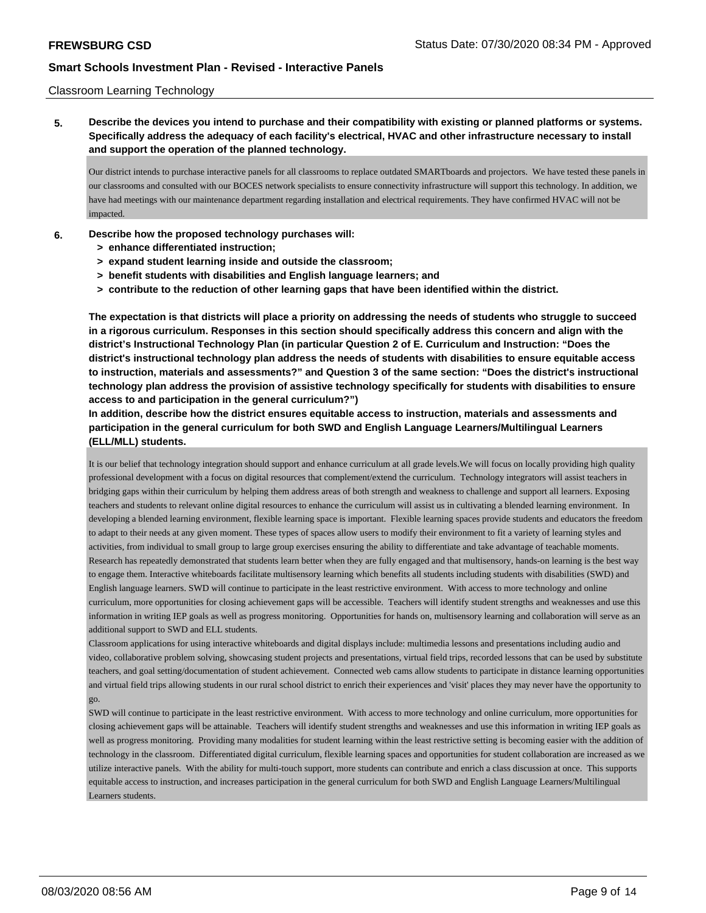### Classroom Learning Technology

**5. Describe the devices you intend to purchase and their compatibility with existing or planned platforms or systems. Specifically address the adequacy of each facility's electrical, HVAC and other infrastructure necessary to install and support the operation of the planned technology.**

Our district intends to purchase interactive panels for all classrooms to replace outdated SMARTboards and projectors. We have tested these panels in our classrooms and consulted with our BOCES network specialists to ensure connectivity infrastructure will support this technology. In addition, we have had meetings with our maintenance department regarding installation and electrical requirements. They have confirmed HVAC will not be impacted.

- **6. Describe how the proposed technology purchases will:**
	- **> enhance differentiated instruction;**
	- **> expand student learning inside and outside the classroom;**
	- **> benefit students with disabilities and English language learners; and**
	- **> contribute to the reduction of other learning gaps that have been identified within the district.**

**The expectation is that districts will place a priority on addressing the needs of students who struggle to succeed in a rigorous curriculum. Responses in this section should specifically address this concern and align with the district's Instructional Technology Plan (in particular Question 2 of E. Curriculum and Instruction: "Does the district's instructional technology plan address the needs of students with disabilities to ensure equitable access to instruction, materials and assessments?" and Question 3 of the same section: "Does the district's instructional technology plan address the provision of assistive technology specifically for students with disabilities to ensure access to and participation in the general curriculum?")**

**In addition, describe how the district ensures equitable access to instruction, materials and assessments and participation in the general curriculum for both SWD and English Language Learners/Multilingual Learners (ELL/MLL) students.**

It is our belief that technology integration should support and enhance curriculum at all grade levels.We will focus on locally providing high quality professional development with a focus on digital resources that complement/extend the curriculum. Technology integrators will assist teachers in bridging gaps within their curriculum by helping them address areas of both strength and weakness to challenge and support all learners. Exposing teachers and students to relevant online digital resources to enhance the curriculum will assist us in cultivating a blended learning environment. In developing a blended learning environment, flexible learning space is important. Flexible learning spaces provide students and educators the freedom to adapt to their needs at any given moment. These types of spaces allow users to modify their environment to fit a variety of learning styles and activities, from individual to small group to large group exercises ensuring the ability to differentiate and take advantage of teachable moments. Research has repeatedly demonstrated that students learn better when they are fully engaged and that multisensory, hands-on learning is the best way to engage them. Interactive whiteboards facilitate multisensory learning which benefits all students including students with disabilities (SWD) and English language learners. SWD will continue to participate in the least restrictive environment. With access to more technology and online curriculum, more opportunities for closing achievement gaps will be accessible. Teachers will identify student strengths and weaknesses and use this information in writing IEP goals as well as progress monitoring. Opportunities for hands on, multisensory learning and collaboration will serve as an additional support to SWD and ELL students.

Classroom applications for using interactive whiteboards and digital displays include: multimedia lessons and presentations including audio and video, collaborative problem solving, showcasing student projects and presentations, virtual field trips, recorded lessons that can be used by substitute teachers, and goal setting/documentation of student achievement. Connected web cams allow students to participate in distance learning opportunities and virtual field trips allowing students in our rural school district to enrich their experiences and 'visit' places they may never have the opportunity to go.

SWD will continue to participate in the least restrictive environment. With access to more technology and online curriculum, more opportunities for closing achievement gaps will be attainable. Teachers will identify student strengths and weaknesses and use this information in writing IEP goals as well as progress monitoring. Providing many modalities for student learning within the least restrictive setting is becoming easier with the addition of technology in the classroom. Differentiated digital curriculum, flexible learning spaces and opportunities for student collaboration are increased as we utilize interactive panels. With the ability for multi-touch support, more students can contribute and enrich a class discussion at once. This supports equitable access to instruction, and increases participation in the general curriculum for both SWD and English Language Learners/Multilingual Learners students.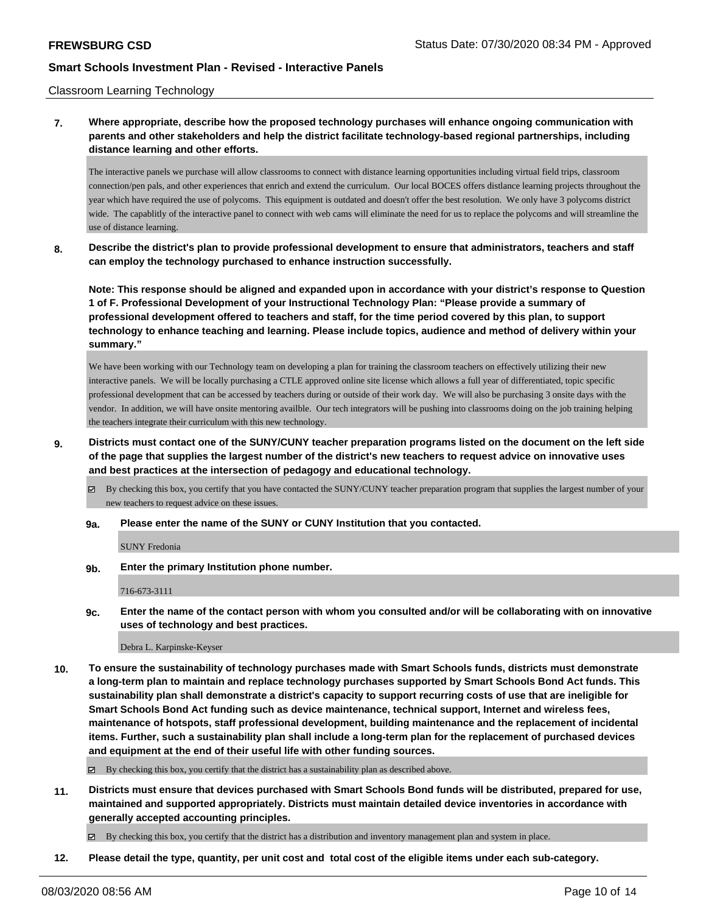### Classroom Learning Technology

## **7. Where appropriate, describe how the proposed technology purchases will enhance ongoing communication with parents and other stakeholders and help the district facilitate technology-based regional partnerships, including distance learning and other efforts.**

The interactive panels we purchase will allow classrooms to connect with distance learning opportunities including virtual field trips, classroom connection/pen pals, and other experiences that enrich and extend the curriculum. Our local BOCES offers distlance learning projects throughout the year which have required the use of polycoms. This equipment is outdated and doesn't offer the best resolution. We only have 3 polycoms district wide. The capablitly of the interactive panel to connect with web cams will eliminate the need for us to replace the polycoms and will streamline the use of distance learning.

**8. Describe the district's plan to provide professional development to ensure that administrators, teachers and staff can employ the technology purchased to enhance instruction successfully.**

**Note: This response should be aligned and expanded upon in accordance with your district's response to Question 1 of F. Professional Development of your Instructional Technology Plan: "Please provide a summary of professional development offered to teachers and staff, for the time period covered by this plan, to support technology to enhance teaching and learning. Please include topics, audience and method of delivery within your summary."**

We have been working with our Technology team on developing a plan for training the classroom teachers on effectively utilizing their new interactive panels. We will be locally purchasing a CTLE approved online site license which allows a full year of differentiated, topic specific professional development that can be accessed by teachers during or outside of their work day. We will also be purchasing 3 onsite days with the vendor. In addition, we will have onsite mentoring availble. Our tech integrators will be pushing into classrooms doing on the job training helping the teachers integrate their curriculum with this new technology.

**9. Districts must contact one of the SUNY/CUNY teacher preparation programs listed on the document on the left side of the page that supplies the largest number of the district's new teachers to request advice on innovative uses and best practices at the intersection of pedagogy and educational technology.**

 $\boxtimes$  By checking this box, you certify that you have contacted the SUNY/CUNY teacher preparation program that supplies the largest number of your new teachers to request advice on these issues.

**9a. Please enter the name of the SUNY or CUNY Institution that you contacted.**

SUNY Fredonia

**9b. Enter the primary Institution phone number.**

716-673-3111

**9c. Enter the name of the contact person with whom you consulted and/or will be collaborating with on innovative uses of technology and best practices.**

Debra L. Karpinske-Keyser

**10. To ensure the sustainability of technology purchases made with Smart Schools funds, districts must demonstrate a long-term plan to maintain and replace technology purchases supported by Smart Schools Bond Act funds. This sustainability plan shall demonstrate a district's capacity to support recurring costs of use that are ineligible for Smart Schools Bond Act funding such as device maintenance, technical support, Internet and wireless fees, maintenance of hotspots, staff professional development, building maintenance and the replacement of incidental items. Further, such a sustainability plan shall include a long-term plan for the replacement of purchased devices and equipment at the end of their useful life with other funding sources.**

 $\boxtimes$  By checking this box, you certify that the district has a sustainability plan as described above.

**11. Districts must ensure that devices purchased with Smart Schools Bond funds will be distributed, prepared for use, maintained and supported appropriately. Districts must maintain detailed device inventories in accordance with generally accepted accounting principles.**

By checking this box, you certify that the district has a distribution and inventory management plan and system in place.

**12. Please detail the type, quantity, per unit cost and total cost of the eligible items under each sub-category.**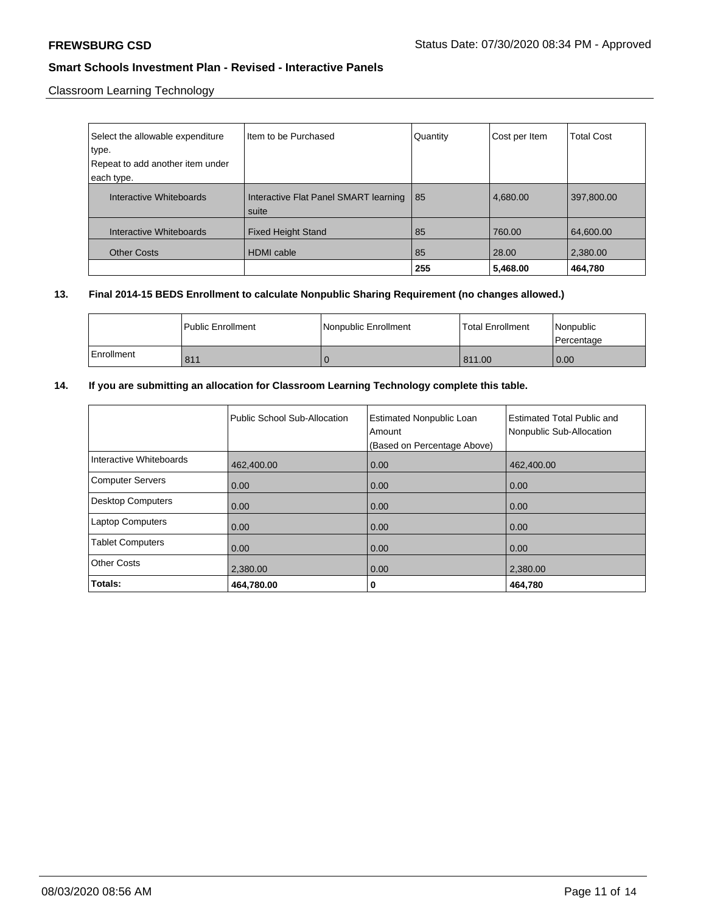Classroom Learning Technology

| Select the allowable expenditure               | Item to be Purchased                           | Quantity | Cost per Item | <b>Total Cost</b> |
|------------------------------------------------|------------------------------------------------|----------|---------------|-------------------|
| type.                                          |                                                |          |               |                   |
| Repeat to add another item under<br>each type. |                                                |          |               |                   |
| Interactive Whiteboards                        | Interactive Flat Panel SMART learning<br>suite | l 85     | 4,680.00      | 397,800.00        |
| Interactive Whiteboards                        | <b>Fixed Height Stand</b>                      | 85       | 760.00        | 64,600.00         |
| <b>Other Costs</b>                             | <b>HDMI</b> cable                              | 85       | 28.00         | 2,380.00          |
|                                                |                                                | 255      | 5,468.00      | 464,780           |

## **13. Final 2014-15 BEDS Enrollment to calculate Nonpublic Sharing Requirement (no changes allowed.)**

|            | l Public Enrollment | Nonpublic Enrollment | <b>Total Enrollment</b> | Nonpublic<br>l Percentage |
|------------|---------------------|----------------------|-------------------------|---------------------------|
| Enrollment | 811                 |                      | 811.00                  | 0.00                      |

# **14. If you are submitting an allocation for Classroom Learning Technology complete this table.**

|                          | Public School Sub-Allocation | <b>Estimated Nonpublic Loan</b><br>Amount<br>(Based on Percentage Above) | Estimated Total Public and<br>Nonpublic Sub-Allocation |
|--------------------------|------------------------------|--------------------------------------------------------------------------|--------------------------------------------------------|
| Interactive Whiteboards  | 462,400.00                   | 0.00                                                                     | 462,400.00                                             |
| <b>Computer Servers</b>  | 0.00                         | 0.00                                                                     | 0.00                                                   |
| <b>Desktop Computers</b> | 0.00                         | 0.00                                                                     | 0.00                                                   |
| <b>Laptop Computers</b>  | 0.00                         | 0.00                                                                     | 0.00                                                   |
| <b>Tablet Computers</b>  | 0.00                         | 0.00                                                                     | 0.00                                                   |
| <b>Other Costs</b>       | 2,380.00                     | 0.00                                                                     | 2,380.00                                               |
| Totals:                  | 464,780.00                   | 0                                                                        | 464,780                                                |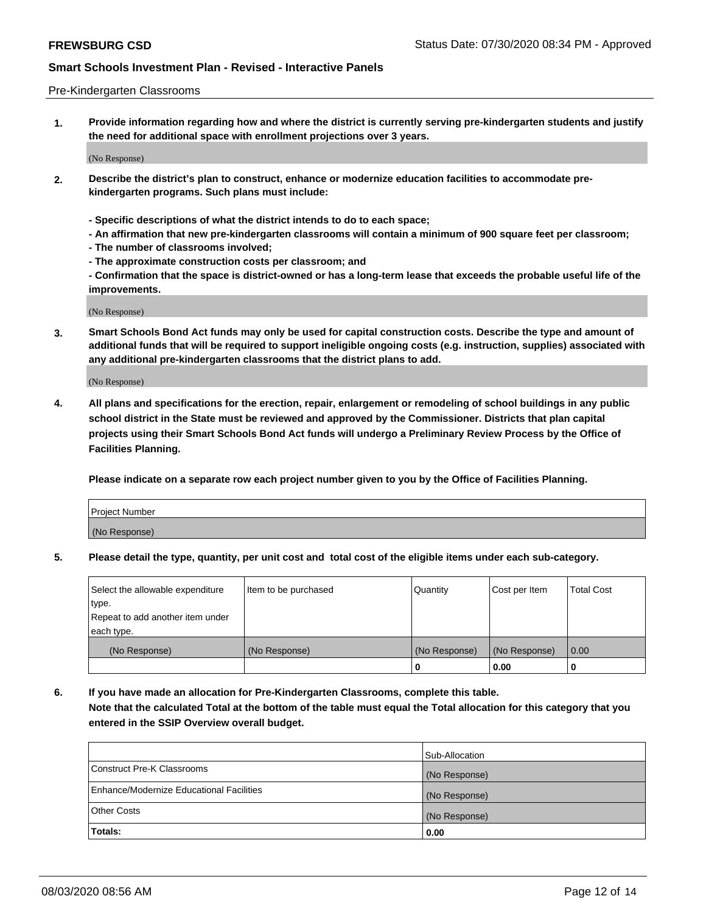### Pre-Kindergarten Classrooms

**1. Provide information regarding how and where the district is currently serving pre-kindergarten students and justify the need for additional space with enrollment projections over 3 years.**

(No Response)

- **2. Describe the district's plan to construct, enhance or modernize education facilities to accommodate prekindergarten programs. Such plans must include:**
	- **Specific descriptions of what the district intends to do to each space;**
	- **An affirmation that new pre-kindergarten classrooms will contain a minimum of 900 square feet per classroom;**
	- **The number of classrooms involved;**
	- **The approximate construction costs per classroom; and**
	- **Confirmation that the space is district-owned or has a long-term lease that exceeds the probable useful life of the improvements.**

(No Response)

**3. Smart Schools Bond Act funds may only be used for capital construction costs. Describe the type and amount of additional funds that will be required to support ineligible ongoing costs (e.g. instruction, supplies) associated with any additional pre-kindergarten classrooms that the district plans to add.**

(No Response)

**4. All plans and specifications for the erection, repair, enlargement or remodeling of school buildings in any public school district in the State must be reviewed and approved by the Commissioner. Districts that plan capital projects using their Smart Schools Bond Act funds will undergo a Preliminary Review Process by the Office of Facilities Planning.**

**Please indicate on a separate row each project number given to you by the Office of Facilities Planning.**

| Project Number |  |
|----------------|--|
| (No Response)  |  |
|                |  |

**5. Please detail the type, quantity, per unit cost and total cost of the eligible items under each sub-category.**

| Select the allowable expenditure | Item to be purchased | Quantity      | Cost per Item | <b>Total Cost</b> |
|----------------------------------|----------------------|---------------|---------------|-------------------|
| type.                            |                      |               |               |                   |
| Repeat to add another item under |                      |               |               |                   |
| each type.                       |                      |               |               |                   |
| (No Response)                    | (No Response)        | (No Response) | (No Response) | 0.00              |
|                                  |                      | U             | 0.00          |                   |

**6. If you have made an allocation for Pre-Kindergarten Classrooms, complete this table. Note that the calculated Total at the bottom of the table must equal the Total allocation for this category that you entered in the SSIP Overview overall budget.**

| Totals:                                  | 0.00           |
|------------------------------------------|----------------|
| <b>Other Costs</b>                       | (No Response)  |
| Enhance/Modernize Educational Facilities | (No Response)  |
| Construct Pre-K Classrooms               | (No Response)  |
|                                          | Sub-Allocation |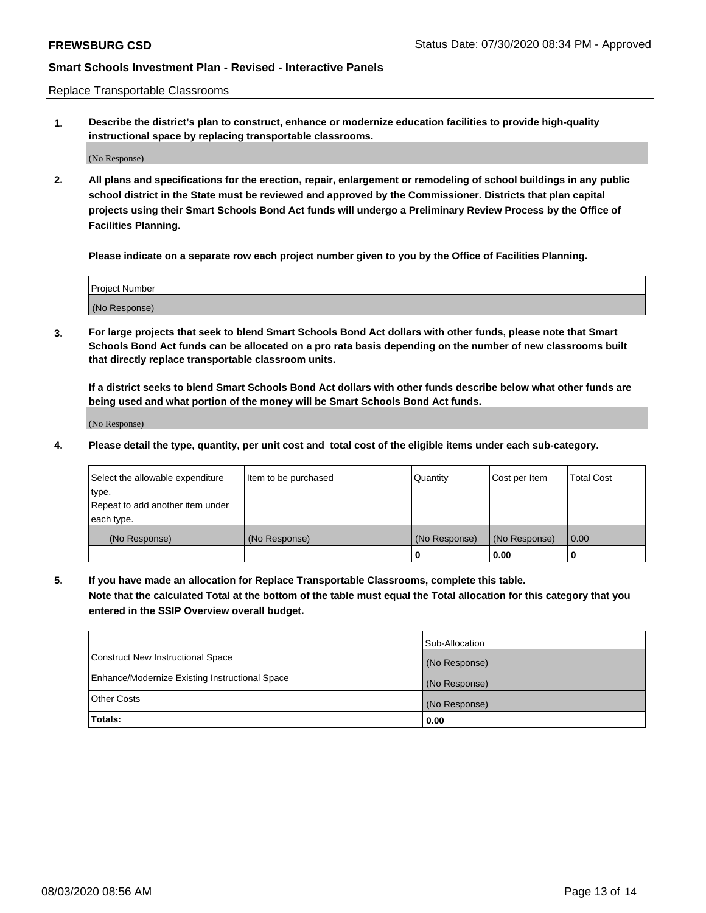Replace Transportable Classrooms

**1. Describe the district's plan to construct, enhance or modernize education facilities to provide high-quality instructional space by replacing transportable classrooms.**

(No Response)

**2. All plans and specifications for the erection, repair, enlargement or remodeling of school buildings in any public school district in the State must be reviewed and approved by the Commissioner. Districts that plan capital projects using their Smart Schools Bond Act funds will undergo a Preliminary Review Process by the Office of Facilities Planning.**

**Please indicate on a separate row each project number given to you by the Office of Facilities Planning.**

| Project Number |  |
|----------------|--|
|                |  |
|                |  |
|                |  |
| (No Response)  |  |
|                |  |
|                |  |

**3. For large projects that seek to blend Smart Schools Bond Act dollars with other funds, please note that Smart Schools Bond Act funds can be allocated on a pro rata basis depending on the number of new classrooms built that directly replace transportable classroom units.**

**If a district seeks to blend Smart Schools Bond Act dollars with other funds describe below what other funds are being used and what portion of the money will be Smart Schools Bond Act funds.**

(No Response)

**4. Please detail the type, quantity, per unit cost and total cost of the eligible items under each sub-category.**

| Select the allowable expenditure | Item to be purchased | Quantity      | Cost per Item | Total Cost |
|----------------------------------|----------------------|---------------|---------------|------------|
| ∣type.                           |                      |               |               |            |
| Repeat to add another item under |                      |               |               |            |
| each type.                       |                      |               |               |            |
| (No Response)                    | (No Response)        | (No Response) | (No Response) | 0.00       |
|                                  |                      | u             | 0.00          |            |

**5. If you have made an allocation for Replace Transportable Classrooms, complete this table. Note that the calculated Total at the bottom of the table must equal the Total allocation for this category that you entered in the SSIP Overview overall budget.**

|                                                | Sub-Allocation |
|------------------------------------------------|----------------|
| Construct New Instructional Space              | (No Response)  |
| Enhance/Modernize Existing Instructional Space | (No Response)  |
| Other Costs                                    | (No Response)  |
| Totals:                                        | 0.00           |